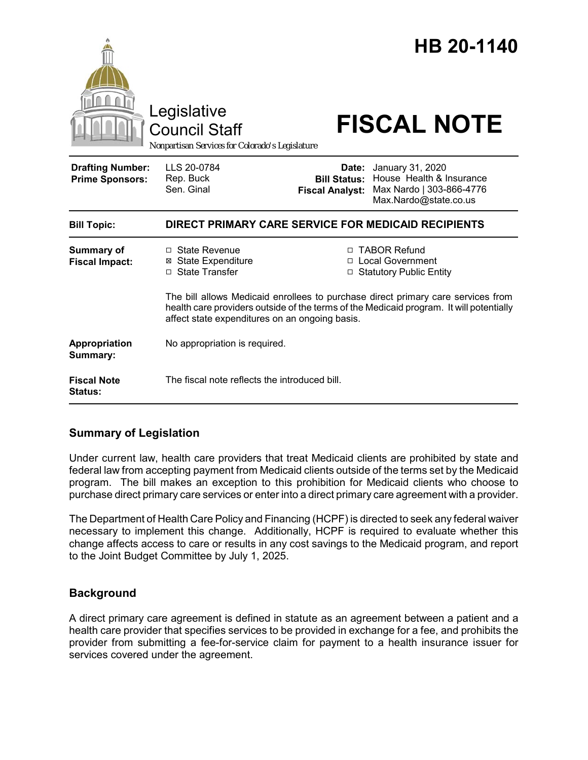|                                                   | Legislative<br><b>Council Staff</b><br>Nonpartisan Services for Colorado's Legislature                                                    |                                                                                                                                                                 | HB 20-1140<br><b>FISCAL NOTE</b>                                                                        |
|---------------------------------------------------|-------------------------------------------------------------------------------------------------------------------------------------------|-----------------------------------------------------------------------------------------------------------------------------------------------------------------|---------------------------------------------------------------------------------------------------------|
| <b>Drafting Number:</b><br><b>Prime Sponsors:</b> | LLS 20-0784<br>Rep. Buck<br>Sen. Ginal                                                                                                    | <b>Bill Status:</b><br><b>Fiscal Analyst:</b>                                                                                                                   | Date: January 31, 2020<br>House Health & Insurance<br>Max Nardo   303-866-4776<br>Max.Nardo@state.co.us |
| <b>Bill Topic:</b>                                | DIRECT PRIMARY CARE SERVICE FOR MEDICAID RECIPIENTS                                                                                       |                                                                                                                                                                 |                                                                                                         |
| <b>Summary of</b><br><b>Fiscal Impact:</b>        | □ State Revenue<br><b>⊠</b> State Expenditure<br>□ State Transfer                                                                         | □ TABOR Refund<br>□ Local Government<br><b>Statutory Public Entity</b><br>□<br>The bill allows Medicaid enrollees to purchase direct primary care services from |                                                                                                         |
|                                                   | health care providers outside of the terms of the Medicaid program. It will potentially<br>affect state expenditures on an ongoing basis. |                                                                                                                                                                 |                                                                                                         |
| Appropriation<br>Summary:                         | No appropriation is required.                                                                                                             |                                                                                                                                                                 |                                                                                                         |
| <b>Fiscal Note</b><br><b>Status:</b>              | The fiscal note reflects the introduced bill.                                                                                             |                                                                                                                                                                 |                                                                                                         |

# **Summary of Legislation**

Under current law, health care providers that treat Medicaid clients are prohibited by state and federal law from accepting payment from Medicaid clients outside of the terms set by the Medicaid program. The bill makes an exception to this prohibition for Medicaid clients who choose to purchase direct primary care services or enter into a direct primary care agreement with a provider.

The Department of Health Care Policy and Financing (HCPF) is directed to seek any federal waiver necessary to implement this change. Additionally, HCPF is required to evaluate whether this change affects access to care or results in any cost savings to the Medicaid program, and report to the Joint Budget Committee by July 1, 2025.

# **Background**

A direct primary care agreement is defined in statute as an agreement between a patient and a health care provider that specifies services to be provided in exchange for a fee, and prohibits the provider from submitting a fee-for-service claim for payment to a health insurance issuer for services covered under the agreement.